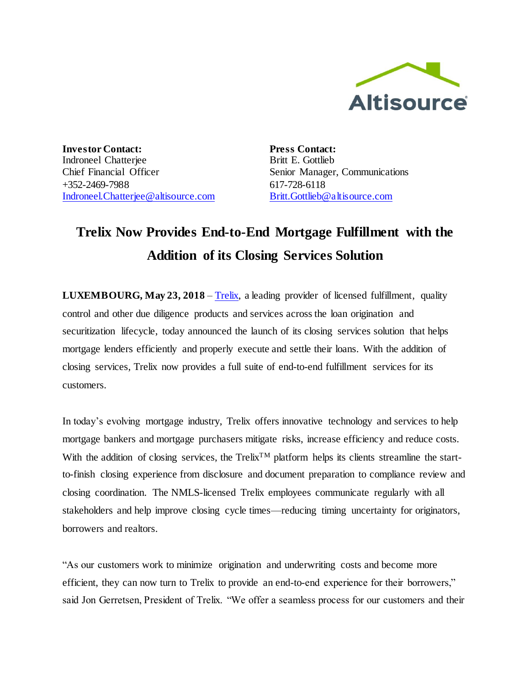

**Investor Contact:** Indroneel Chatterjee Chief Financial Officer +352-2469-7988 [Indroneel.Chatterjee@altisource.com](mailto:Indroneel.Chatterjee@altisource.com) **Press Contact:** Britt E. Gottlieb Senior Manager, Communications 617-728-6118 [Britt.Gottlieb@altisource.com](mailto:Britt.Gottlieb@altisource.com)

## **Trelix Now Provides End-to-End Mortgage Fulfillment with the Addition of its Closing Services Solution**

**LUXEMBOURG, May 23, 2018** – [Trelix,](http://www.trelix.com/?utm_campaign=TrelixClosing&utm_source=PR&utm_medium=PR&utm_content=first) a leading provider of licensed fulfillment, quality control and other due diligence products and services across the loan origination and securitization lifecycle, today announced the launch of its closing services solution that helps mortgage lenders efficiently and properly execute and settle their loans. With the addition of closing services, Trelix now provides a full suite of end-to-end fulfillment services for its customers.

In today's evolving mortgage industry, Trelix offers innovative technology and services to help mortgage bankers and mortgage purchasers mitigate risks, increase efficiency and reduce costs. With the addition of closing services, the Trelix<sup>TM</sup> platform helps its clients streamline the startto-finish closing experience from disclosure and document preparation to compliance review and closing coordination. The NMLS-licensed Trelix employees communicate regularly with all stakeholders and help improve closing cycle times—reducing timing uncertainty for originators, borrowers and realtors.

"As our customers work to minimize origination and underwriting costs and become more efficient, they can now turn to Trelix to provide an end-to-end experience for their borrowers," said Jon Gerretsen, President of Trelix. "We offer a seamless process for our customers and their